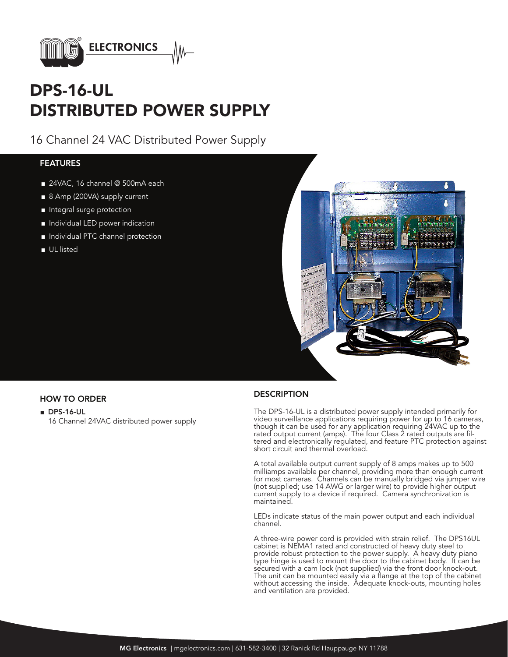

# DPS-16-UL DISTRIBUTED POWER SUPPLY

16 Channel 24 VAC Distributed Power Supply

## **FEATURES**

- 24VAC, 16 channel @ 500mA each
- 8 Amp (200VA) supply current
- Integral surge protection
- Individual LED power indication
- Individual PTC channel protection
- UL listed



- DPS-16-UL
	- 16 Channel 24VAC distributed power supply

## HOW TO ORDER DESCRIPTION

The DPS-16-UL is a distributed power supply intended primarily for video surveillance applications requiring power for up to 16 cameras, though it can be used for any application requiring 24VAC up to the rated output current (amps). The four Class 2 rated outputs are filtered and electronically regulated, and feature PTC protection against short circuit and thermal overload.

A total available output current supply of 8 amps makes up to 500 milliamps available per channel, providing more than enough current for most cameras. Channels can be manually bridged via jumper wire (not supplied; use 14 AWG or larger wire) to provide higher output current supply to a device if required. Camera synchronization is maintained.

LEDs indicate status of the main power output and each individual channel.

A three-wire power cord is provided with strain relief. The DPS16UL cabinet is NEMA1 rated and constructed of heavy duty steel to provide robust protection to the power supply. A heavy duty piano type hinge is used to mount the door to the cabinet body. It can be secured with a cam lock (not supplied) via the front door knock-out. The unit can be mounted easily via a flange at the top of the cabinet without accessing the inside. Adequate knock-outs, mounting holes and ventilation are provided.